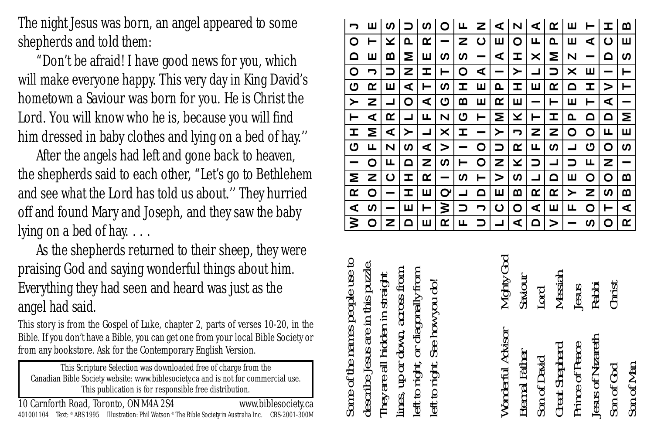The night Jesus was born, an angel appeared to some shepherds and told them:

"Don't be afraid! I have good news for you, which will make everyone happy. This very day in King David's hometown a Saviour was born for you. He is Christ the Lord. You will know who he is, because you will find him dressed in baby clothes and lying on a bed of hay.''

After the angels had left and gone back to heaven, the shepherds said to each other, "Let's go to Bethlehem and see what the Lord has told us about.'' They hurried off and found Mary and Joseph, and they saw the baby lying on a bed of hay. . . .

As the shepherds returned to their sheep, they were praising God and saying wonderful things about him. Everything they had seen and heard was just as the angel had said.

This story is from the Gospel of Luke, chapter 2, parts of verses 10-20, in the Bible. If you don't have a Bible, you can get one from your local Bible Society or from any bookstore. Ask for the Contemporary English Version.

This Scripture Selection was downloaded free of charge from the Canadian Bible Society website: www.biblesociety.ca and is not for commercial use. This publication is for responsible free distribution.

| ∍        | ш  | ທ |          | n | o  | ц.       | z | ⋖ | N        | ⋖ | ≃  | ш      | ⊢  | I | ≃        |
|----------|----|---|----------|---|----|----------|---|---|----------|---|----|--------|----|---|----------|
| o        | ⊢  | × | ≏        | œ |    | z        | ပ | ш | O        | ╙ | ≏  | ш      | ⋖  | ပ | ш        |
| $\Omega$ | ш  | ≃ | Σ        | ш | ທ  | <b>S</b> | - | ⋖ | I        | × | Σ  | N      | -  | ≏ | n        |
| O        | っ  | っ | z        | I | ⊢  | O        | ⋖ | - | ≻        | ┙ | っ  | ×      | ш  |   | ⊢        |
| ပ        | œ  | ш | ⋖        | ⊢ | S, | I        | ш | ≏ | I        | ш | œ  | $\Box$ | I  | > | ⊢        |
| ≻        | z  | ┙ | O        | ⋖ | ပ  | ≃        | ш | œ | ш        | - | ⊢  | ш      | ⊢  | ⋖ | -        |
| ⊢        | ⋖  | œ | ┙        | ட | N  | ပ        | ⊢ | Σ | ×        | ⊢ | I  | ൨      | ≏  | ۵ | Σ        |
| ᆂ        | Σ  | ⋖ | ≻        | ┙ | ×  | I        | - | ≻ | っ        | z | z  | O      | o  | ட | ш        |
| ပ        | ட  | N | <b>S</b> | ⋖ | >  | -        | ٥ | っ | œ        | ╙ | S, | ┙      | ပ  | O | <b>S</b> |
| -        | O  | щ | ۵        | z | ທ  | ⊢        | O | z | ×        | っ | ┙  | っ      | ╙  | z | -        |
| Σ        | z  | ပ | ᆂ        | œ | -  | <b>S</b> | ⊢ | > | <b>S</b> | ᆜ | ≏  | ш      | o  | o | ≃        |
| œ        | ٥  | - | I        | ш | σ  | ┙        | ۵ | ш | ≃        | œ | œ  | ≻      | z  | ທ | ≃        |
| ⋖        | S, |   | ш        | ⊢ | ≳  | っ        | ∍ | ပ | O        | ⋖ | ш  | ட      | O  | ⊢ | ⋖        |
| ⋧        | o  | z | ≏        | ш | œ  | ட        |   |   | ⋖        | ۵ | >  | -      | S, | O | œ        |
|          |    |   |          |   |    |          |   |   |          |   |    |        |    |   |          |

 $\overline{\phantom{a}}$ 

Some of the names people use to Some of the names people use to describe Jesus are in this puzzle. lines, up or down, across from left to right, or diagonally from  $_{\text{num}}$ They are all hidden in straight or diagonally from left to right. See how you do! تھ or down, across Jesus are in this See how you eft to right, right lescribe. They are ē ines,  $\mathbf{a}$  $\ddot{a}$ 

| Wonderful Advisor     | Mighty Go |
|-----------------------|-----------|
| Eternal Father        | Saviour   |
| Son of David          | Lord      |
| <b>Great Shepherd</b> | Messiah   |
| Prince of Peace       | Jesus     |
| Jesus of Nazareth     | Rabii     |
| Son of God            | Christ    |
| Son of Man            |           |